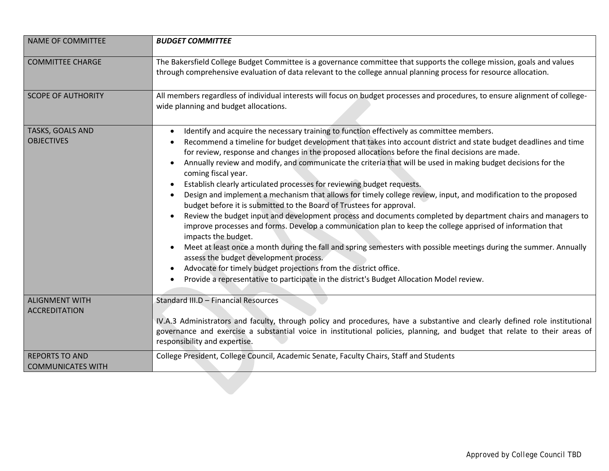| <b>NAME OF COMMITTEE</b>                          | <b>BUDGET COMMITTEE</b>                                                                                                                                                                                                                                                                                                                                                                                                                                                                                                                                                                                                                                                                                                                                                                                                                                                                                                                                                                                                                                                                                                                                                                                                                                                                                                                                      |
|---------------------------------------------------|--------------------------------------------------------------------------------------------------------------------------------------------------------------------------------------------------------------------------------------------------------------------------------------------------------------------------------------------------------------------------------------------------------------------------------------------------------------------------------------------------------------------------------------------------------------------------------------------------------------------------------------------------------------------------------------------------------------------------------------------------------------------------------------------------------------------------------------------------------------------------------------------------------------------------------------------------------------------------------------------------------------------------------------------------------------------------------------------------------------------------------------------------------------------------------------------------------------------------------------------------------------------------------------------------------------------------------------------------------------|
| <b>COMMITTEE CHARGE</b>                           | The Bakersfield College Budget Committee is a governance committee that supports the college mission, goals and values<br>through comprehensive evaluation of data relevant to the college annual planning process for resource allocation.                                                                                                                                                                                                                                                                                                                                                                                                                                                                                                                                                                                                                                                                                                                                                                                                                                                                                                                                                                                                                                                                                                                  |
| <b>SCOPE OF AUTHORITY</b>                         | All members regardless of individual interests will focus on budget processes and procedures, to ensure alignment of college-<br>wide planning and budget allocations.                                                                                                                                                                                                                                                                                                                                                                                                                                                                                                                                                                                                                                                                                                                                                                                                                                                                                                                                                                                                                                                                                                                                                                                       |
| TASKS, GOALS AND<br><b>OBJECTIVES</b>             | Identify and acquire the necessary training to function effectively as committee members.<br>$\bullet$<br>Recommend a timeline for budget development that takes into account district and state budget deadlines and time<br>for review, response and changes in the proposed allocations before the final decisions are made.<br>Annually review and modify, and communicate the criteria that will be used in making budget decisions for the<br>$\bullet$<br>coming fiscal year.<br>Establish clearly articulated processes for reviewing budget requests.<br>Design and implement a mechanism that allows for timely college review, input, and modification to the proposed<br>budget before it is submitted to the Board of Trustees for approval.<br>Review the budget input and development process and documents completed by department chairs and managers to<br>improve processes and forms. Develop a communication plan to keep the college apprised of information that<br>impacts the budget.<br>Meet at least once a month during the fall and spring semesters with possible meetings during the summer. Annually<br>assess the budget development process.<br>Advocate for timely budget projections from the district office.<br>$\bullet$<br>Provide a representative to participate in the district's Budget Allocation Model review. |
| <b>ALIGNMENT WITH</b><br><b>ACCREDITATION</b>     | Standard III.D - Financial Resources<br>IV.A.3 Administrators and faculty, through policy and procedures, have a substantive and clearly defined role institutional<br>governance and exercise a substantial voice in institutional policies, planning, and budget that relate to their areas of<br>responsibility and expertise.                                                                                                                                                                                                                                                                                                                                                                                                                                                                                                                                                                                                                                                                                                                                                                                                                                                                                                                                                                                                                            |
| <b>REPORTS TO AND</b><br><b>COMMUNICATES WITH</b> | College President, College Council, Academic Senate, Faculty Chairs, Staff and Students                                                                                                                                                                                                                                                                                                                                                                                                                                                                                                                                                                                                                                                                                                                                                                                                                                                                                                                                                                                                                                                                                                                                                                                                                                                                      |